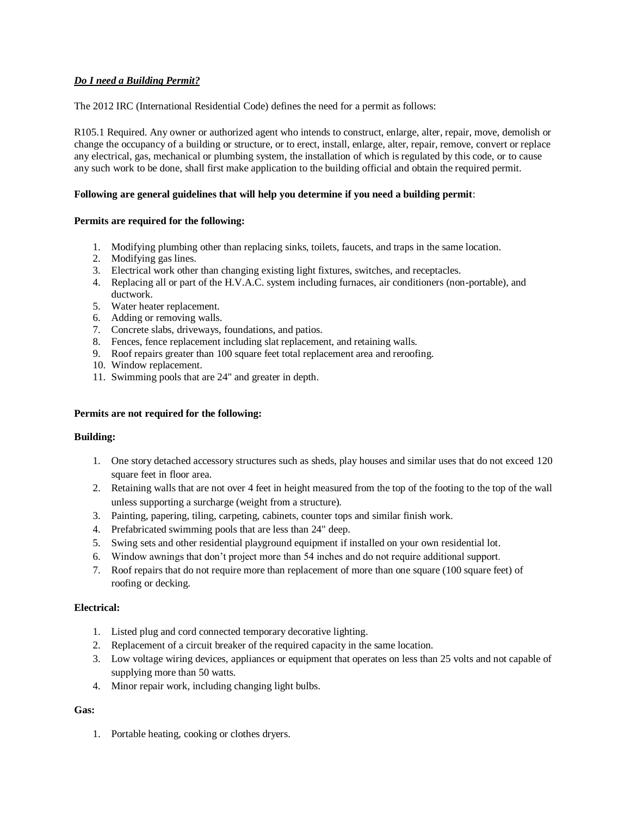# *Do I need a Building Permit?*

The 2012 IRC (International Residential Code) defines the need for a permit as follows:

R105.1 Required. Any owner or authorized agent who intends to construct, enlarge, alter, repair, move, demolish or change the occupancy of a building or structure, or to erect, install, enlarge, alter, repair, remove, convert or replace any electrical, gas, mechanical or plumbing system, the installation of which is regulated by this code, or to cause any such work to be done, shall first make application to the building official and obtain the required permit.

## **Following are general guidelines that will help you determine if you need a building permit**:

### **Permits are required for the following:**

- 1. Modifying plumbing other than replacing sinks, toilets, faucets, and traps in the same location.
- 2. Modifying gas lines.
- 3. Electrical work other than changing existing light fixtures, switches, and receptacles.
- 4. Replacing all or part of the H.V.A.C. system including furnaces, air conditioners (non-portable), and ductwork.
- 5. Water heater replacement.
- 6. Adding or removing walls.
- 7. Concrete slabs, driveways, foundations, and patios.
- 8. Fences, fence replacement including slat replacement, and retaining walls.
- 9. Roof repairs greater than 100 square feet total replacement area and reroofing.
- 10. Window replacement.
- 11. Swimming pools that are 24" and greater in depth.

### **Permits are not required for the following:**

#### **Building:**

- 1. One story detached accessory structures such as sheds, play houses and similar uses that do not exceed 120 square feet in floor area.
- 2. Retaining walls that are not over 4 feet in height measured from the top of the footing to the top of the wall unless supporting a surcharge (weight from a structure).
- 3. Painting, papering, tiling, carpeting, cabinets, counter tops and similar finish work.
- 4. Prefabricated swimming pools that are less than 24" deep.
- 5. Swing sets and other residential playground equipment if installed on your own residential lot.
- 6. Window awnings that don't project more than 54 inches and do not require additional support.
- 7. Roof repairs that do not require more than replacement of more than one square (100 square feet) of roofing or decking.

#### **Electrical:**

- 1. Listed plug and cord connected temporary decorative lighting.
- 2. Replacement of a circuit breaker of the required capacity in the same location.
- 3. Low voltage wiring devices, appliances or equipment that operates on less than 25 volts and not capable of supplying more than 50 watts.
- 4. Minor repair work, including changing light bulbs.

#### **Gas:**

1. Portable heating, cooking or clothes dryers.